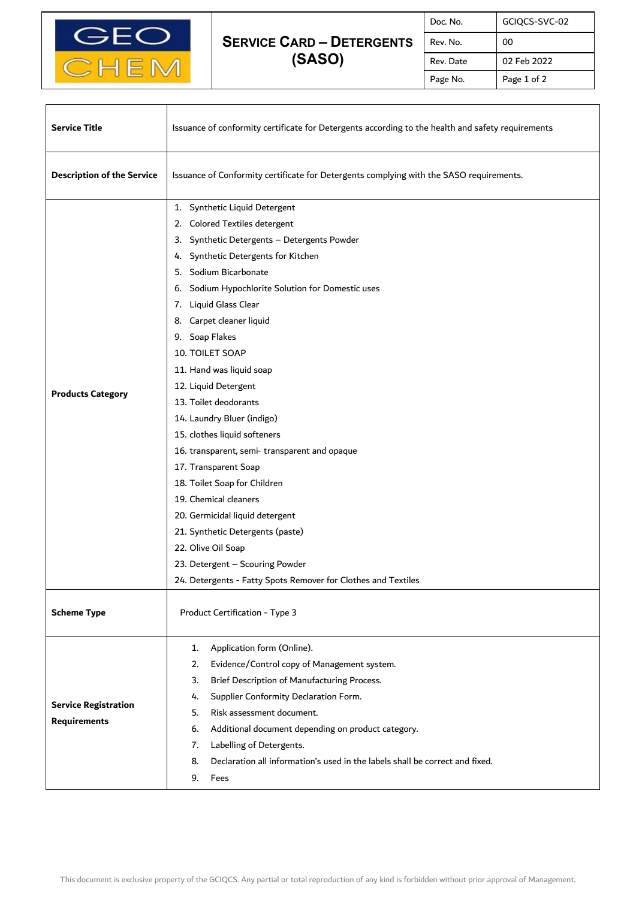

## **SERVICE CARD – DETERGENTS (SASO)**

| Doc. No.  | GCIQCS-SVC-02 |
|-----------|---------------|
| Rev. No.  | ΩO            |
| Rev. Date | 02 Feb 2022   |
| Page No.  | Page 1 of 2   |

٦

| <b>Service Title</b>                               | Issuance of conformity certificate for Detergents according to the health and safety requirements                                                                                                                                                                                                                                                                                                                                                                                                                                                                                                                                                                                                                                                                                                         |  |
|----------------------------------------------------|-----------------------------------------------------------------------------------------------------------------------------------------------------------------------------------------------------------------------------------------------------------------------------------------------------------------------------------------------------------------------------------------------------------------------------------------------------------------------------------------------------------------------------------------------------------------------------------------------------------------------------------------------------------------------------------------------------------------------------------------------------------------------------------------------------------|--|
| <b>Description of the Service</b>                  | Issuance of Conformity certificate for Detergents complying with the SASO requirements.                                                                                                                                                                                                                                                                                                                                                                                                                                                                                                                                                                                                                                                                                                                   |  |
| <b>Products Category</b>                           | 1. Synthetic Liquid Detergent<br>2. Colored Textiles detergent<br>3. Synthetic Detergents - Detergents Powder<br>4. Synthetic Detergents for Kitchen<br>5. Sodium Bicarbonate<br>6. Sodium Hypochlorite Solution for Domestic uses<br>7. Liquid Glass Clear<br>8. Carpet cleaner liquid<br>9. Soap Flakes<br>10. TOILET SOAP<br>11. Hand was liquid soap<br>12. Liquid Detergent<br>13. Toilet deodorants<br>14. Laundry Bluer (indigo)<br>15. clothes liquid softeners<br>16. transparent, semi-transparent and opaque<br>17. Transparent Soap<br>18. Toilet Soap for Children<br>19. Chemical cleaners<br>20. Germicidal liquid detergent<br>21. Synthetic Detergents (paste)<br>22. Olive Oil Soap<br>23. Detergent - Scouring Powder<br>24. Detergents - Fatty Spots Remover for Clothes and Textiles |  |
| <b>Scheme Type</b>                                 | Product Certification - Type 3                                                                                                                                                                                                                                                                                                                                                                                                                                                                                                                                                                                                                                                                                                                                                                            |  |
| <b>Service Registration</b><br><b>Requirements</b> | Application form (Online).<br>1.<br>Evidence/Control copy of Management system.<br>2.<br>Brief Description of Manufacturing Process.<br>3.<br>Supplier Conformity Declaration Form.<br>4.<br>Risk assessment document.<br>5.<br>6.<br>Additional document depending on product category.<br>Labelling of Detergents.<br>7.<br>Declaration all information's used in the labels shall be correct and fixed.<br>8.<br>9.<br>Fees                                                                                                                                                                                                                                                                                                                                                                            |  |